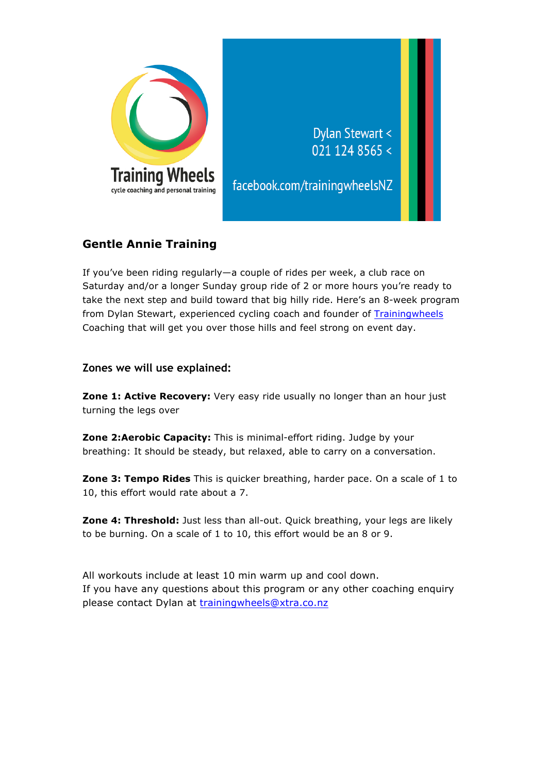

## **Gentle Annie Training**

If you've been riding regularly—a couple of rides per week, a club race on Saturday and/or a longer Sunday group ride of 2 or more hours you're ready to take the next step and build toward that big hilly ride. Here's an 8-week program from Dylan Stewart, experienced cycling coach and founder of Trainingwheels Coaching that will get you over those hills and feel strong on event day.

**Zones we will use explained:**

**Zone 1: Active Recovery:** Very easy ride usually no longer than an hour just turning the legs over

**Zone 2:Aerobic Capacity:** This is minimal-effort riding. Judge by your breathing: It should be steady, but relaxed, able to carry on a conversation.

**Zone 3: Tempo Rides** This is quicker breathing, harder pace. On a scale of 1 to 10, this effort would rate about a 7.

**Zone 4: Threshold:** Just less than all-out. Quick breathing, your legs are likely to be burning. On a scale of 1 to 10, this effort would be an 8 or 9.

All workouts include at least 10 min warm up and cool down. If you have any questions about this program or any other coaching enquiry please contact Dylan at trainingwheels@xtra.co.nz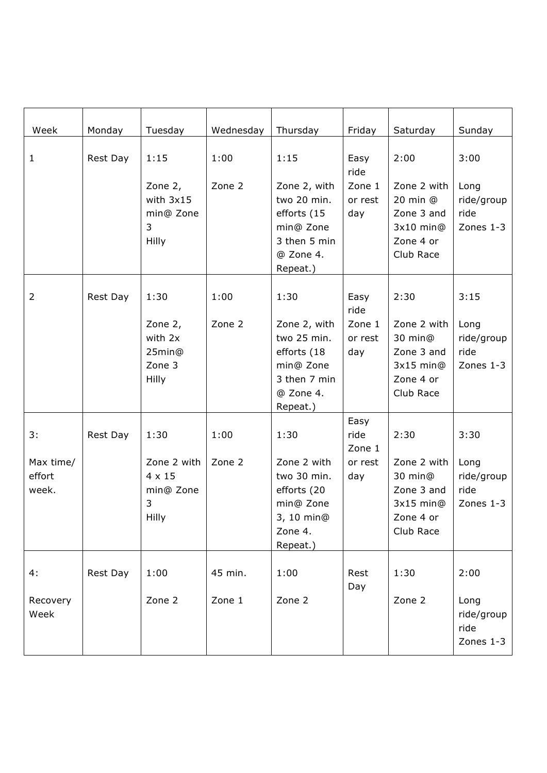| Week                         | Monday   | Tuesday                                                 | Wednesday | Thursday                                                                                         | Friday                   | Saturday                                                                         | Sunday                                  |
|------------------------------|----------|---------------------------------------------------------|-----------|--------------------------------------------------------------------------------------------------|--------------------------|----------------------------------------------------------------------------------|-----------------------------------------|
|                              |          |                                                         |           |                                                                                                  |                          |                                                                                  |                                         |
| $\mathbf{1}$                 | Rest Day | 1:15                                                    | 1:00      | 1:15                                                                                             | Easy<br>ride             | 2:00                                                                             | 3:00                                    |
|                              |          | Zone 2,<br>with 3x15<br>min@ Zone<br>3<br>Hilly         | Zone 2    | Zone 2, with<br>two 20 min.<br>efforts (15<br>min@ Zone<br>3 then 5 min<br>@ Zone 4.<br>Repeat.) | Zone 1<br>or rest<br>day | Zone 2 with<br>20 min @<br>Zone 3 and<br>3x10 min@<br>Zone 4 or<br>Club Race     | Long<br>ride/group<br>ride<br>Zones 1-3 |
| 2                            | Rest Day | 1:30                                                    | 1:00      | 1:30                                                                                             | Easy<br>ride             | 2:30                                                                             | 3:15                                    |
|                              |          | Zone 2,<br>with 2x<br>25min@<br>Zone 3<br>Hilly         | Zone 2    | Zone 2, with<br>two 25 min.<br>efforts (18<br>min@ Zone<br>3 then 7 min<br>@ Zone 4.<br>Repeat.) | Zone 1<br>or rest<br>day | Zone 2 with<br>30 min@<br>Zone 3 and<br>$3x15$ min $@$<br>Zone 4 or<br>Club Race | Long<br>ride/group<br>ride<br>Zones 1-3 |
| 3:                           | Rest Day | 1:30                                                    | 1:00      | 1:30                                                                                             | Easy<br>ride<br>Zone 1   | 2:30                                                                             | 3:30                                    |
| Max time/<br>effort<br>week. |          | Zone 2 with<br>4 x 15<br>min@ Zone<br>3<br><b>Hilly</b> | Zone 2    | Zone 2 with<br>two 30 min.<br>efforts (20<br>min@ Zone<br>3, 10 min@<br>Zone 4.<br>Repeat.)      | or rest<br>day           | Zone 2 with<br>30 min@<br>Zone 3 and<br>$3x15$ min $@$<br>Zone 4 or<br>Club Race | Long<br>ride/group<br>ride<br>Zones 1-3 |
| 4:                           | Rest Day | 1:00                                                    | 45 min.   | 1:00                                                                                             | Rest<br>Day              | 1:30                                                                             | 2:00                                    |
| Recovery<br>Week             |          | Zone 2                                                  | Zone 1    | Zone 2                                                                                           |                          | Zone 2                                                                           | Long<br>ride/group<br>ride<br>Zones 1-3 |